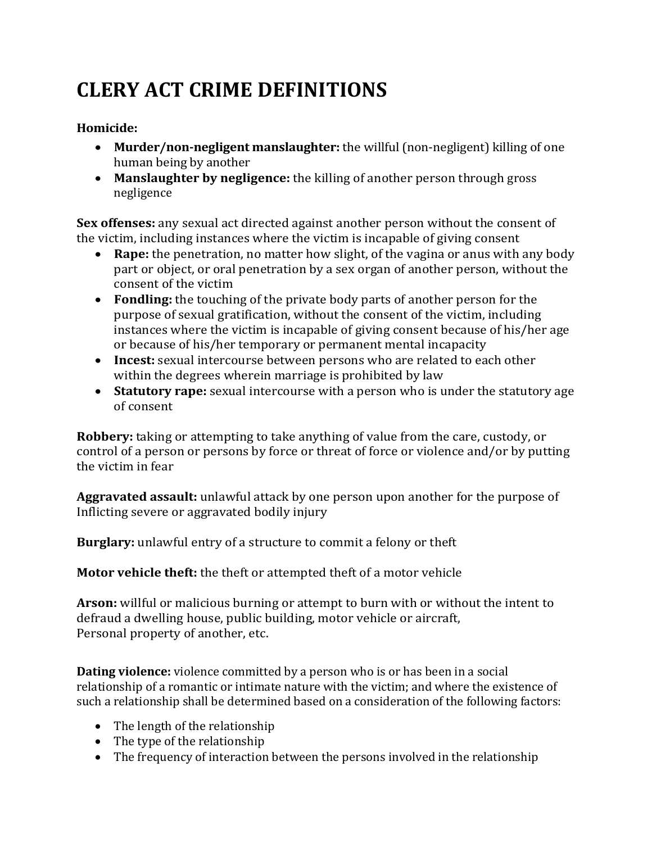### **CLERY ACT CRIME DEFINITIONS**

### **Homicide:**

- **Murder/non-negligent manslaughter:** the willful (non-negligent) killing of one human being by another
- **Manslaughter by negligence:** the killing of another person through gross negligence

**Sex offenses:** any sexual act directed against another person without the consent of the victim, including instances where the victim is incapable of giving consent

- **Rape:** the penetration, no matter how slight, of the vagina or anus with any body part or object, or oral penetration by a sex organ of another person, without the consent of the victim
- **Fondling:** the touching of the private body parts of another person for the purpose of sexual gratification, without the consent of the victim, including instances where the victim is incapable of giving consent because of his/her age or because of his/her temporary or permanent mental incapacity
- **Incest:** sexual intercourse between persons who are related to each other within the degrees wherein marriage is prohibited by law
- **Statutory rape:** sexual intercourse with a person who is under the statutory age of consent

**Robbery:** taking or attempting to take anything of value from the care, custody, or control of a person or persons by force or threat of force or violence and/or by putting the victim in fear

**Aggravated assault:** unlawful attack by one person upon another for the purpose of Inflicting severe or aggravated bodily injury

**Burglary:** unlawful entry of a structure to commit a felony or theft

**Motor vehicle theft:** the theft or attempted theft of a motor vehicle

**Arson:** willful or malicious burning or attempt to burn with or without the intent to defraud a dwelling house, public building, motor vehicle or aircraft, Personal property of another, etc.

**Dating violence:** violence committed by a person who is or has been in a social relationship of a romantic or intimate nature with the victim; and where the existence of such a relationship shall be determined based on a consideration of the following factors:

- The length of the relationship
- The type of the relationship
- The frequency of interaction between the persons involved in the relationship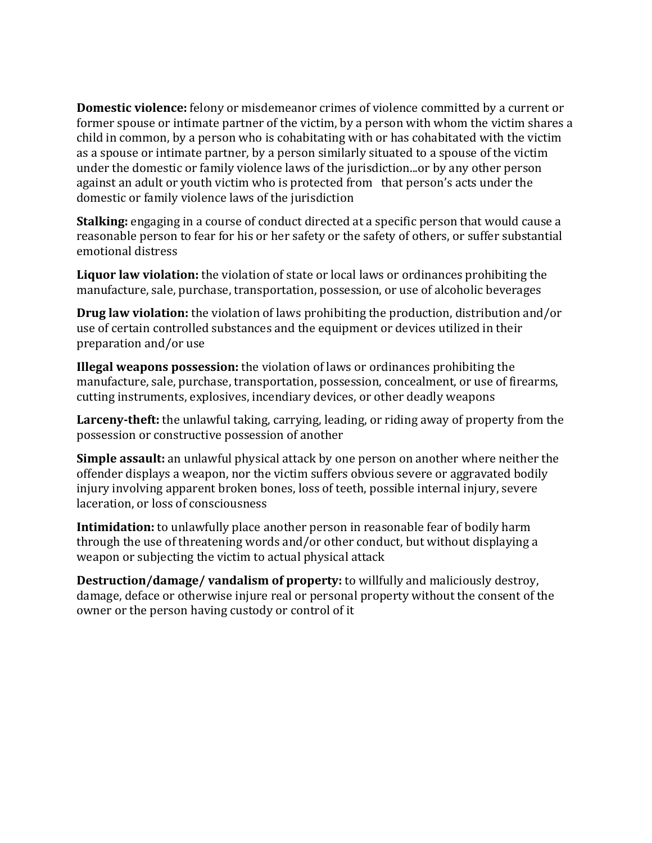**Domestic violence:** felony or misdemeanor crimes of violence committed by a current or former spouse or intimate partner of the victim, by a person with whom the victim shares a child in common, by a person who is cohabitating with or has cohabitated with the victim as a spouse or intimate partner, by a person similarly situated to a spouse of the victim under the domestic or family violence laws of the jurisdiction...or by any other person against an adult or youth victim who is protected from that person's acts under the domestic or family violence laws of the jurisdiction

**Stalking:** engaging in a course of conduct directed at a specific person that would cause a reasonable person to fear for his or her safety or the safety of others, or suffer substantial emotional distress

**Liquor law violation:** the violation of state or local laws or ordinances prohibiting the manufacture, sale, purchase, transportation, possession, or use of alcoholic beverages

**Drug law violation:** the violation of laws prohibiting the production, distribution and/or use of certain controlled substances and the equipment or devices utilized in their preparation and/or use

**Illegal weapons possession:** the violation of laws or ordinances prohibiting the manufacture, sale, purchase, transportation, possession, concealment, or use of firearms, cutting instruments, explosives, incendiary devices, or other deadly weapons

**Larceny-theft:** the unlawful taking, carrying, leading, or riding away of property from the possession or constructive possession of another

**Simple assault:** an unlawful physical attack by one person on another where neither the offender displays a weapon, nor the victim suffers obvious severe or aggravated bodily injury involving apparent broken bones, loss of teeth, possible internal injury, severe laceration, or loss of consciousness

**Intimidation:** to unlawfully place another person in reasonable fear of bodily harm through the use of threatening words and/or other conduct, but without displaying a weapon or subjecting the victim to actual physical attack

**Destruction/damage/ vandalism of property:** to willfully and maliciously destroy, damage, deface or otherwise injure real or personal property without the consent of the owner or the person having custody or control of it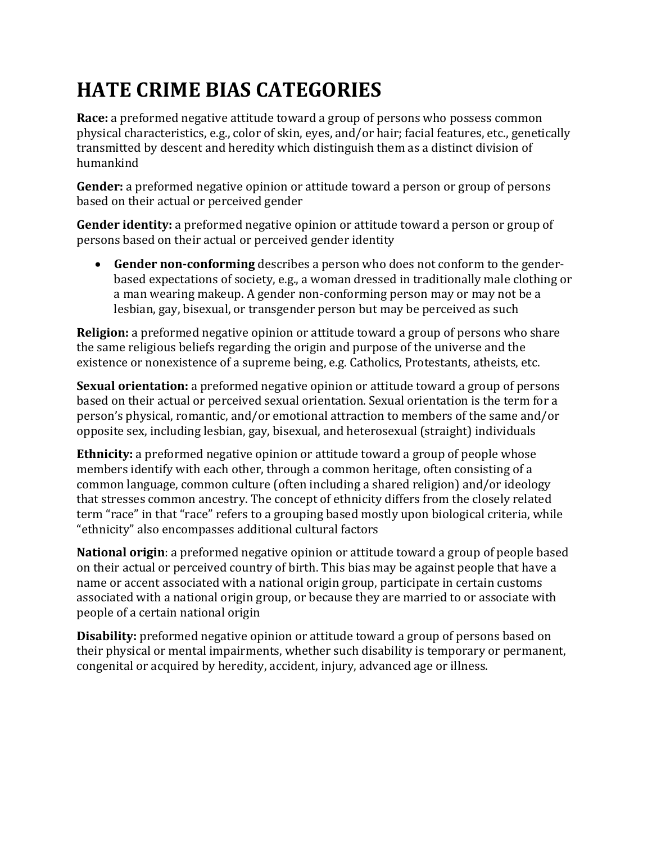## **HATE CRIME BIAS CATEGORIES**

**Race:** a preformed negative attitude toward a group of persons who possess common physical characteristics, e.g., color of skin, eyes, and/or hair; facial features, etc., genetically transmitted by descent and heredity which distinguish them as a distinct division of humankind

**Gender:** a preformed negative opinion or attitude toward a person or group of persons based on their actual or perceived gender

**Gender identity:** a preformed negative opinion or attitude toward a person or group of persons based on their actual or perceived gender identity

• **Gender non-conforming** describes a person who does not conform to the genderbased expectations of society, e.g., a woman dressed in traditionally male clothing or a man wearing makeup. A gender non-conforming person may or may not be a lesbian, gay, bisexual, or transgender person but may be perceived as such

**Religion:** a preformed negative opinion or attitude toward a group of persons who share the same religious beliefs regarding the origin and purpose of the universe and the existence or nonexistence of a supreme being, e.g. Catholics, Protestants, atheists, etc.

**Sexual orientation:** a preformed negative opinion or attitude toward a group of persons based on their actual or perceived sexual orientation. Sexual orientation is the term for a person's physical, romantic, and/or emotional attraction to members of the same and/or opposite sex, including lesbian, gay, bisexual, and heterosexual (straight) individuals

**Ethnicity:** a preformed negative opinion or attitude toward a group of people whose members identify with each other, through a common heritage, often consisting of a common language, common culture (often including a shared religion) and/or ideology that stresses common ancestry. The concept of ethnicity differs from the closely related term "race" in that "race" refers to a grouping based mostly upon biological criteria, while "ethnicity" also encompasses additional cultural factors

**National origin**: a preformed negative opinion or attitude toward a group of people based on their actual or perceived country of birth. This bias may be against people that have a name or accent associated with a national origin group, participate in certain customs associated with a national origin group, or because they are married to or associate with people of a certain national origin

**Disability:** preformed negative opinion or attitude toward a group of persons based on their physical or mental impairments, whether such disability is temporary or permanent, congenital or acquired by heredity, accident, injury, advanced age or illness.